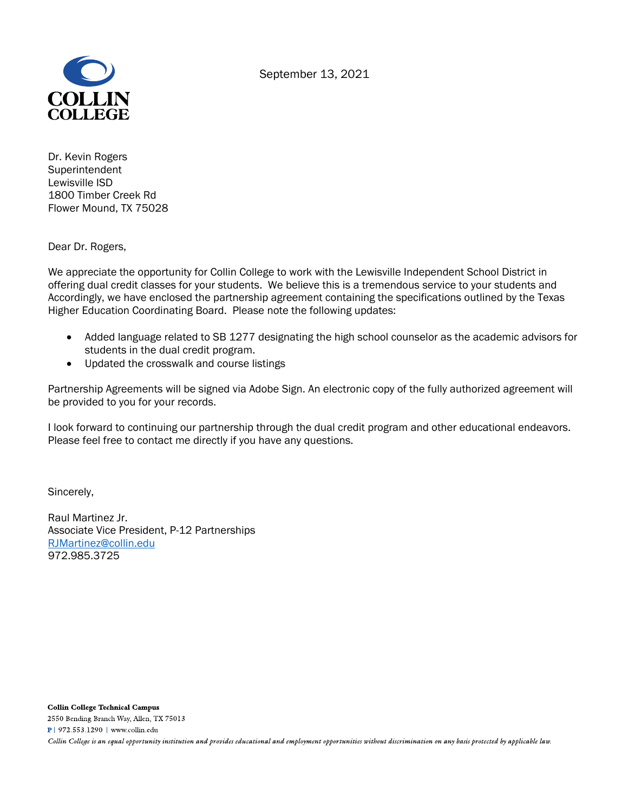September 13, 2021



Dr. Kevin Rogers Superintendent Lewisville ISD 1800 Timber Creek Rd Flower Mound, TX 75028

Dear Dr. Rogers,

We appreciate the opportunity for Collin College to work with the Lewisville Independent School District in offering dual credit classes for your students. We believe this is a tremendous service to your students and Accordingly, we have enclosed the partnership agreement containing the specifications outlined by the Texas Higher Education Coordinating Board. Please note the following updates:

- Added language related to SB 1277 designating the high school counselor as the academic advisors for students in the dual credit program.
- Updated the crosswalk and course listings

Partnership Agreements will be signed via Adobe Sign. An electronic copy of the fully authorized agreement will be provided to you for your records.

I look forward to continuing our partnership through the dual credit program and other educational endeavors. Please feel free to contact me directly if you have any questions.

Sincerely,

Raul Martinez Jr. Associate Vice President, P-12 Partnerships RJMartinez@collin.edu 972.985.3725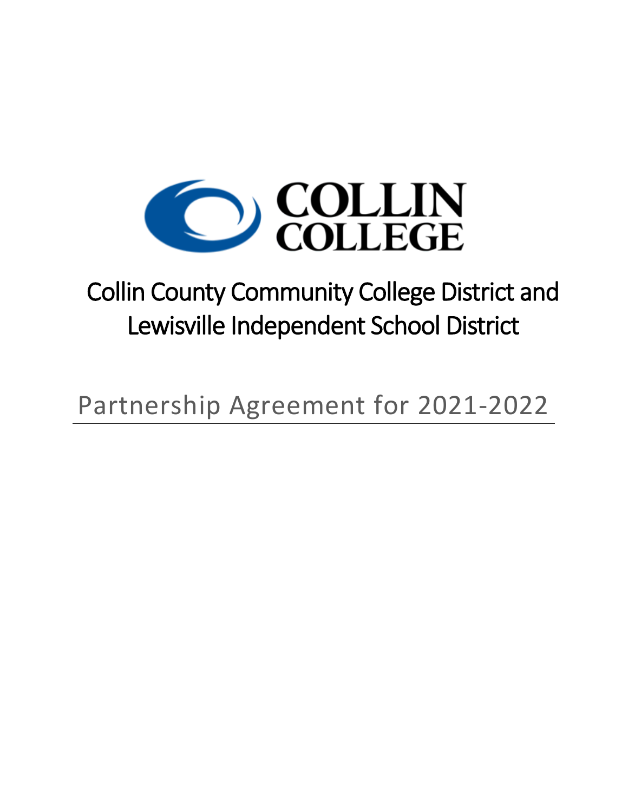

# Collin County Community College District and Lewisville Independent School District

Partnership Agreement for 2021-2022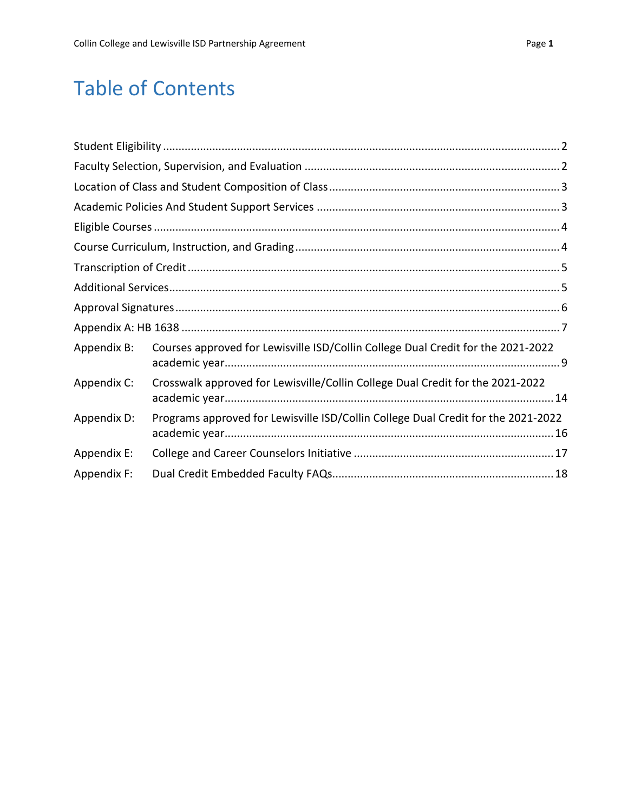## Table of Contents

| Appendix B: | Courses approved for Lewisville ISD/Collin College Dual Credit for the 2021-2022  |
|-------------|-----------------------------------------------------------------------------------|
| Appendix C: | Crosswalk approved for Lewisville/Collin College Dual Credit for the 2021-2022    |
| Appendix D: | Programs approved for Lewisville ISD/Collin College Dual Credit for the 2021-2022 |
| Appendix E: |                                                                                   |
| Appendix F: |                                                                                   |
|             |                                                                                   |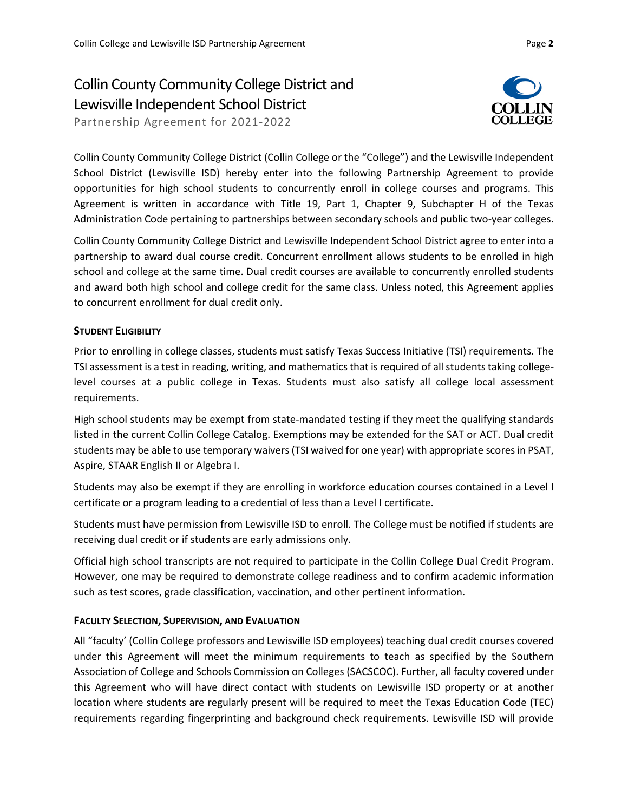### Collin County Community College District and Lewisville Independent School District

Partnership Agreement for 2021-2022



Collin County Community College District (Collin College or the "College") and the Lewisville Independent School District (Lewisville ISD) hereby enter into the following Partnership Agreement to provide opportunities for high school students to concurrently enroll in college courses and programs. This Agreement is written in accordance with Title 19, Part 1, Chapter 9, Subchapter H of the Texas Administration Code pertaining to partnerships between secondary schools and public two-year colleges.

Collin County Community College District and Lewisville Independent School District agree to enter into a partnership to award dual course credit. Concurrent enrollment allows students to be enrolled in high school and college at the same time. Dual credit courses are available to concurrently enrolled students and award both high school and college credit for the same class. Unless noted, this Agreement applies to concurrent enrollment for dual credit only.

#### **STUDENT ELIGIBILITY**

Prior to enrolling in college classes, students must satisfy Texas Success Initiative (TSI) requirements. The TSI assessment is a test in reading, writing, and mathematics that is required of all students taking collegelevel courses at a public college in Texas. Students must also satisfy all college local assessment requirements.

High school students may be exempt from state-mandated testing if they meet the qualifying standards listed in the current Collin College Catalog. Exemptions may be extended for the SAT or ACT. Dual credit students may be able to use temporary waivers (TSI waived for one year) with appropriate scores in PSAT, Aspire, STAAR English II or Algebra I.

Students may also be exempt if they are enrolling in workforce education courses contained in a Level I certificate or a program leading to a credential of less than a Level I certificate.

Students must have permission from Lewisville ISD to enroll. The College must be notified if students are receiving dual credit or if students are early admissions only.

Official high school transcripts are not required to participate in the Collin College Dual Credit Program. However, one may be required to demonstrate college readiness and to confirm academic information such as test scores, grade classification, vaccination, and other pertinent information.

#### **FACULTY SELECTION, SUPERVISION, AND EVALUATION**

All "faculty' (Collin College professors and Lewisville ISD employees) teaching dual credit courses covered under this Agreement will meet the minimum requirements to teach as specified by the Southern Association of College and Schools Commission on Colleges (SACSCOC). Further, all faculty covered under this Agreement who will have direct contact with students on Lewisville ISD property or at another location where students are regularly present will be required to meet the Texas Education Code (TEC) requirements regarding fingerprinting and background check requirements. Lewisville ISD will provide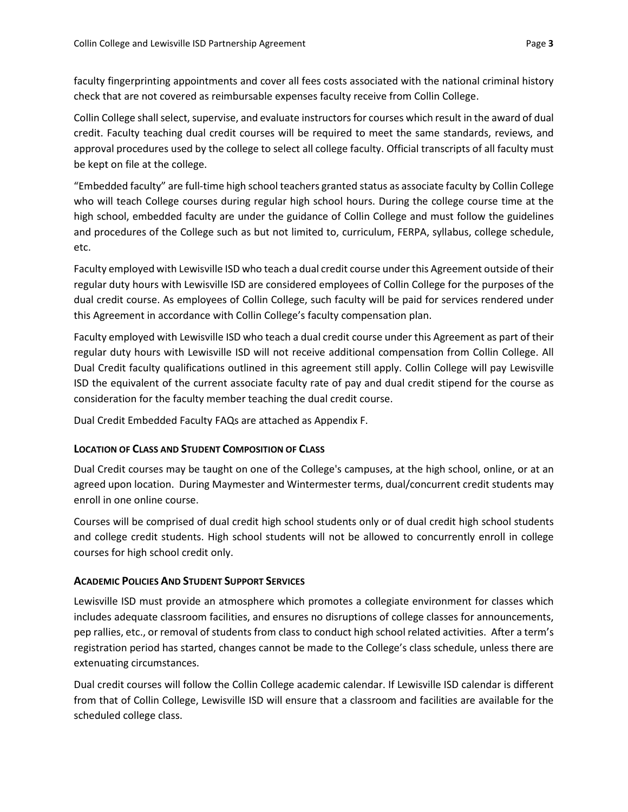faculty fingerprinting appointments and cover all fees costs associated with the national criminal history check that are not covered as reimbursable expenses faculty receive from Collin College.

Collin College shall select, supervise, and evaluate instructors for courses which result in the award of dual credit. Faculty teaching dual credit courses will be required to meet the same standards, reviews, and approval procedures used by the college to select all college faculty. Official transcripts of all faculty must be kept on file at the college.

"Embedded faculty" are full-time high school teachers granted status as associate faculty by Collin College who will teach College courses during regular high school hours. During the college course time at the high school, embedded faculty are under the guidance of Collin College and must follow the guidelines and procedures of the College such as but not limited to, curriculum, FERPA, syllabus, college schedule, etc.

Faculty employed with Lewisville ISD who teach a dual credit course under this Agreement outside of their regular duty hours with Lewisville ISD are considered employees of Collin College for the purposes of the dual credit course. As employees of Collin College, such faculty will be paid for services rendered under this Agreement in accordance with Collin College's faculty compensation plan.

Faculty employed with Lewisville ISD who teach a dual credit course under this Agreement as part of their regular duty hours with Lewisville ISD will not receive additional compensation from Collin College. All Dual Credit faculty qualifications outlined in this agreement still apply. Collin College will pay Lewisville ISD the equivalent of the current associate faculty rate of pay and dual credit stipend for the course as consideration for the faculty member teaching the dual credit course.

Dual Credit Embedded Faculty FAQs are attached as Appendix F.

#### **LOCATION OF CLASS AND STUDENT COMPOSITION OF CLASS**

Dual Credit courses may be taught on one of the College's campuses, at the high school, online, or at an agreed upon location. During Maymester and Wintermester terms, dual/concurrent credit students may enroll in one online course.

Courses will be comprised of dual credit high school students only or of dual credit high school students and college credit students. High school students will not be allowed to concurrently enroll in college courses for high school credit only.

#### **ACADEMIC POLICIES AND STUDENT SUPPORT SERVICES**

Lewisville ISD must provide an atmosphere which promotes a collegiate environment for classes which includes adequate classroom facilities, and ensures no disruptions of college classes for announcements, pep rallies, etc., or removal of students from class to conduct high school related activities. After a term's registration period has started, changes cannot be made to the College's class schedule, unless there are extenuating circumstances.

Dual credit courses will follow the Collin College academic calendar. If Lewisville ISD calendar is different from that of Collin College, Lewisville ISD will ensure that a classroom and facilities are available for the scheduled college class.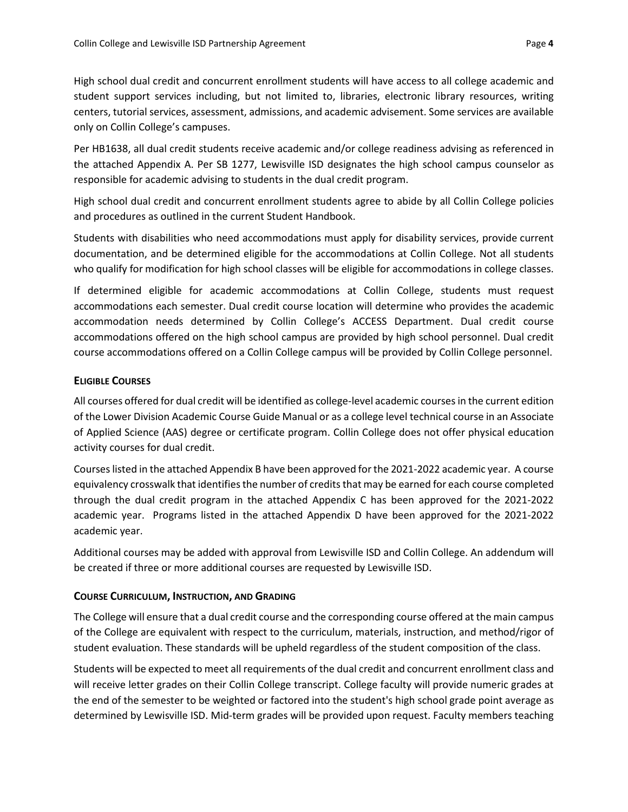High school dual credit and concurrent enrollment students will have access to all college academic and student support services including, but not limited to, libraries, electronic library resources, writing centers, tutorial services, assessment, admissions, and academic advisement. Some services are available only on Collin College's campuses.

Per HB1638, all dual credit students receive academic and/or college readiness advising as referenced in the attached Appendix A. Per SB 1277, Lewisville ISD designates the high school campus counselor as responsible for academic advising to students in the dual credit program.

High school dual credit and concurrent enrollment students agree to abide by all Collin College policies and procedures as outlined in the current Student Handbook.

Students with disabilities who need accommodations must apply for disability services, provide current documentation, and be determined eligible for the accommodations at Collin College. Not all students who qualify for modification for high school classes will be eligible for accommodations in college classes.

If determined eligible for academic accommodations at Collin College, students must request accommodations each semester. Dual credit course location will determine who provides the academic accommodation needs determined by Collin College's ACCESS Department. Dual credit course accommodations offered on the high school campus are provided by high school personnel. Dual credit course accommodations offered on a Collin College campus will be provided by Collin College personnel.

#### **ELIGIBLE COURSES**

All courses offered for dual credit will be identified as college-level academic courses in the current edition of the Lower Division Academic Course Guide Manual or as a college level technical course in an Associate of Applied Science (AAS) degree or certificate program. Collin College does not offer physical education activity courses for dual credit.

Courses listed in the attached Appendix B have been approved for the 2021-2022 academic year. A course equivalency crosswalk that identifies the number of credits that may be earned for each course completed through the dual credit program in the attached Appendix C has been approved for the 2021-2022 academic year. Programs listed in the attached Appendix D have been approved for the 2021-2022 academic year.

Additional courses may be added with approval from Lewisville ISD and Collin College. An addendum will be created if three or more additional courses are requested by Lewisville ISD.

#### **COURSE CURRICULUM, INSTRUCTION, AND GRADING**

The College will ensure that a dual credit course and the corresponding course offered at the main campus of the College are equivalent with respect to the curriculum, materials, instruction, and method/rigor of student evaluation. These standards will be upheld regardless of the student composition of the class.

Students will be expected to meet all requirements of the dual credit and concurrent enrollment class and will receive letter grades on their Collin College transcript. College faculty will provide numeric grades at the end of the semester to be weighted or factored into the student's high school grade point average as determined by Lewisville ISD. Mid-term grades will be provided upon request. Faculty members teaching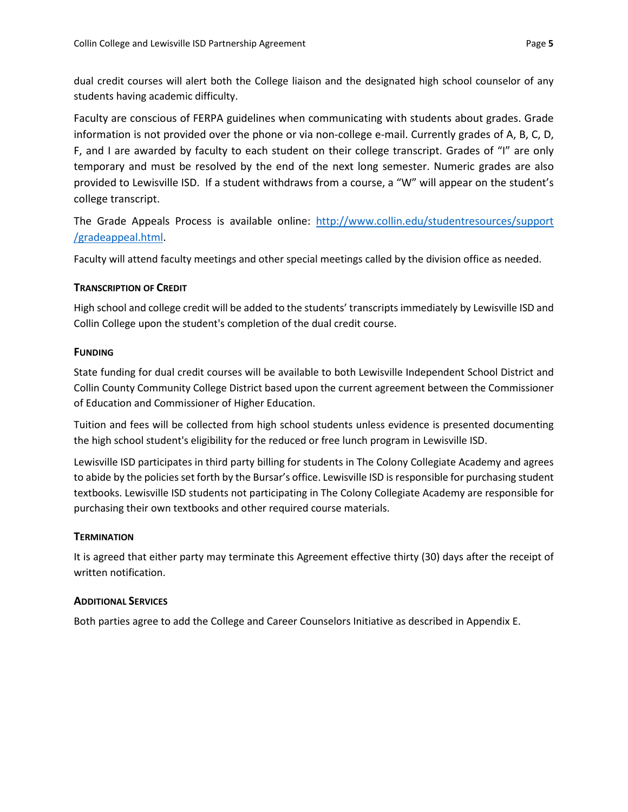dual credit courses will alert both the College liaison and the designated high school counselor of any students having academic difficulty.

Faculty are conscious of FERPA guidelines when communicating with students about grades. Grade information is not provided over the phone or via non-college e-mail. Currently grades of A, B, C, D, F, and I are awarded by faculty to each student on their college transcript. Grades of "I" are only temporary and must be resolved by the end of the next long semester. Numeric grades are also provided to Lewisville ISD. If a student withdraws from a course, a "W" will appear on the student's college transcript.

The Grade Appeals Process is available online: http://www.collin.edu/studentresources/support /gradeappeal.html.

Faculty will attend faculty meetings and other special meetings called by the division office as needed.

#### **TRANSCRIPTION OF CREDIT**

High school and college credit will be added to the students' transcripts immediately by Lewisville ISD and Collin College upon the student's completion of the dual credit course.

#### **FUNDING**

State funding for dual credit courses will be available to both Lewisville Independent School District and Collin County Community College District based upon the current agreement between the Commissioner of Education and Commissioner of Higher Education.

Tuition and fees will be collected from high school students unless evidence is presented documenting the high school student's eligibility for the reduced or free lunch program in Lewisville ISD.

Lewisville ISD participates in third party billing for students in The Colony Collegiate Academy and agrees to abide by the policies set forth by the Bursar's office. Lewisville ISD is responsible for purchasing student textbooks. Lewisville ISD students not participating in The Colony Collegiate Academy are responsible for purchasing their own textbooks and other required course materials.

#### **TERMINATION**

It is agreed that either party may terminate this Agreement effective thirty (30) days after the receipt of written notification.

#### **ADDITIONAL SERVICES**

Both parties agree to add the College and Career Counselors Initiative as described in Appendix E.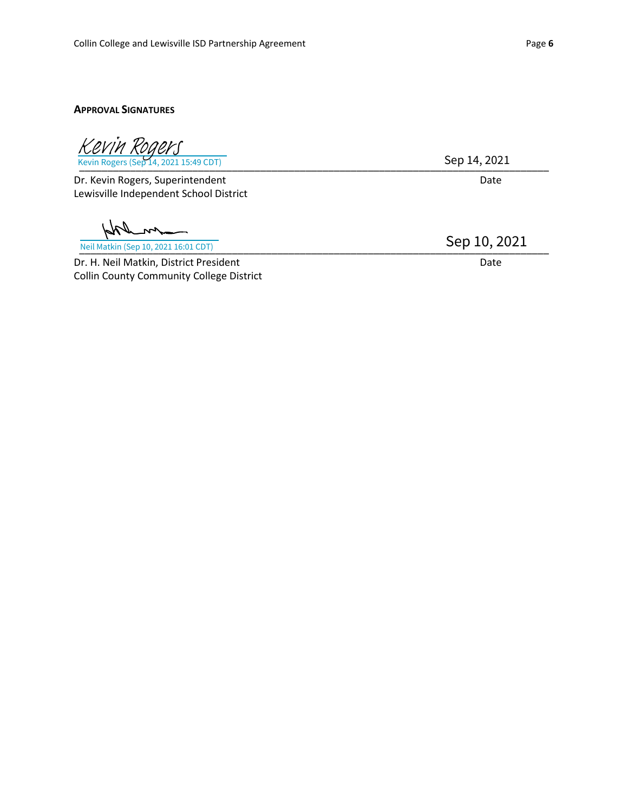#### **APPROVAL SIGNATURES**

\_\_\_\_\_\_\_\_\_\_\_\_\_\_\_\_\_\_\_\_\_\_\_\_\_\_\_\_\_\_\_\_\_\_\_\_\_\_\_\_\_\_\_\_\_\_\_\_\_\_\_\_\_\_\_\_\_\_\_\_\_\_\_\_\_\_\_\_\_\_\_\_\_\_\_\_\_\_\_\_\_\_\_ Kevin Rogers (Sep 14, 2021 15:49 CDT) [Kevin Rogers](https://collin.na1.documents.adobe.com/verifier?tx=CBJCHBCAABAAY05Us2D5pNEWRTqHu4GxqkrEBGu78rAS)

Dr. Kevin Rogers, Superintendent Date Date Date Lewisville Independent School District

\_\_\_\_\_\_\_\_\_\_\_\_\_\_\_\_\_\_\_\_\_\_\_\_\_\_\_\_\_\_\_\_\_\_\_\_\_\_\_\_\_\_\_\_\_\_\_\_\_\_\_\_\_\_\_\_\_\_\_\_\_\_\_\_\_\_\_\_\_\_\_\_\_\_\_\_\_\_\_\_\_\_\_ Neil Matkin (Sep 10, 2021 16:01 CDT)

Dr. H. Neil Matkin, District President Date Date Date Date Collin County Community College District

Sep 14, 2021

Sep 10, 2021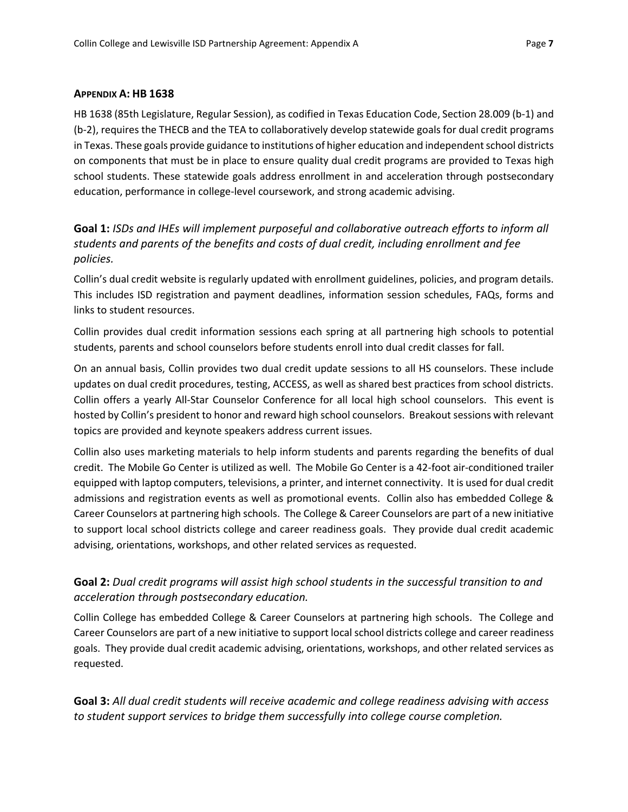#### **APPENDIX A: HB 1638**

HB 1638 (85th Legislature, Regular Session), as codified in Texas Education Code, Section 28.009 (b-1) and (b-2), requires the THECB and the TEA to collaboratively develop statewide goals for dual credit programs in Texas. These goals provide guidance to institutions of higher education and independent school districts on components that must be in place to ensure quality dual credit programs are provided to Texas high school students. These statewide goals address enrollment in and acceleration through postsecondary education, performance in college-level coursework, and strong academic advising.

**Goal 1:** *ISDs and IHEs will implement purposeful and collaborative outreach efforts to inform all students and parents of the benefits and costs of dual credit, including enrollment and fee policies.*

Collin's dual credit website is regularly updated with enrollment guidelines, policies, and program details. This includes ISD registration and payment deadlines, information session schedules, FAQs, forms and links to student resources.

Collin provides dual credit information sessions each spring at all partnering high schools to potential students, parents and school counselors before students enroll into dual credit classes for fall.

On an annual basis, Collin provides two dual credit update sessions to all HS counselors. These include updates on dual credit procedures, testing, ACCESS, as well as shared best practices from school districts. Collin offers a yearly All-Star Counselor Conference for all local high school counselors. This event is hosted by Collin's president to honor and reward high school counselors. Breakout sessions with relevant topics are provided and keynote speakers address current issues.

Collin also uses marketing materials to help inform students and parents regarding the benefits of dual credit. The Mobile Go Center is utilized as well. The Mobile Go Center is a 42-foot air-conditioned trailer equipped with laptop computers, televisions, a printer, and internet connectivity. It is used for dual credit admissions and registration events as well as promotional events. Collin also has embedded College & Career Counselors at partnering high schools. The College & Career Counselors are part of a new initiative to support local school districts college and career readiness goals. They provide dual credit academic advising, orientations, workshops, and other related services as requested.

#### **Goal 2:** *Dual credit programs will assist high school students in the successful transition to and acceleration through postsecondary education.*

Collin College has embedded College & Career Counselors at partnering high schools. The College and Career Counselors are part of a new initiative to support local school districts college and career readiness goals. They provide dual credit academic advising, orientations, workshops, and other related services as requested.

**Goal 3:** *All dual credit students will receive academic and college readiness advising with access to student support services to bridge them successfully into college course completion.*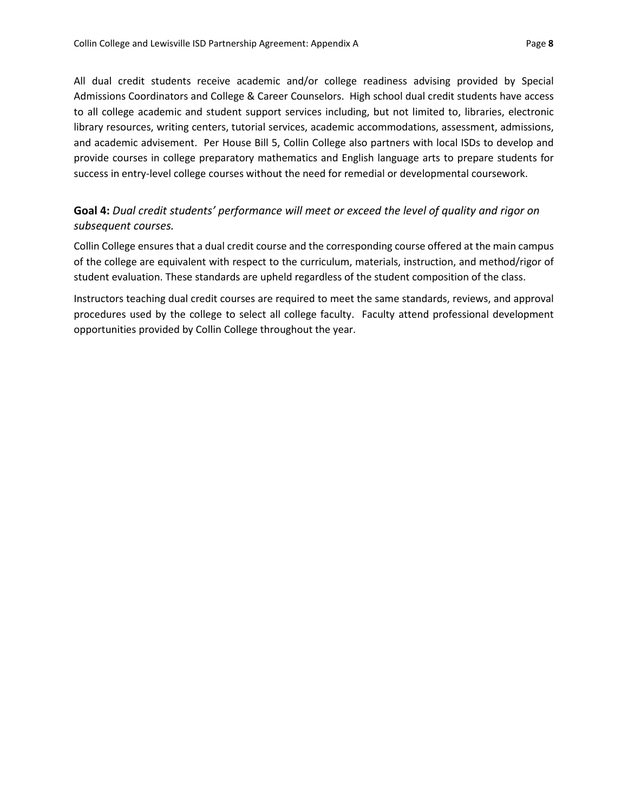All dual credit students receive academic and/or college readiness advising provided by Special Admissions Coordinators and College & Career Counselors. High school dual credit students have access to all college academic and student support services including, but not limited to, libraries, electronic library resources, writing centers, tutorial services, academic accommodations, assessment, admissions, and academic advisement. Per House Bill 5, Collin College also partners with local ISDs to develop and provide courses in college preparatory mathematics and English language arts to prepare students for success in entry-level college courses without the need for remedial or developmental coursework.

#### **Goal 4:** *Dual credit students' performance will meet or exceed the level of quality and rigor on subsequent courses.*

Collin College ensures that a dual credit course and the corresponding course offered at the main campus of the college are equivalent with respect to the curriculum, materials, instruction, and method/rigor of student evaluation. These standards are upheld regardless of the student composition of the class.

Instructors teaching dual credit courses are required to meet the same standards, reviews, and approval procedures used by the college to select all college faculty. Faculty attend professional development opportunities provided by Collin College throughout the year.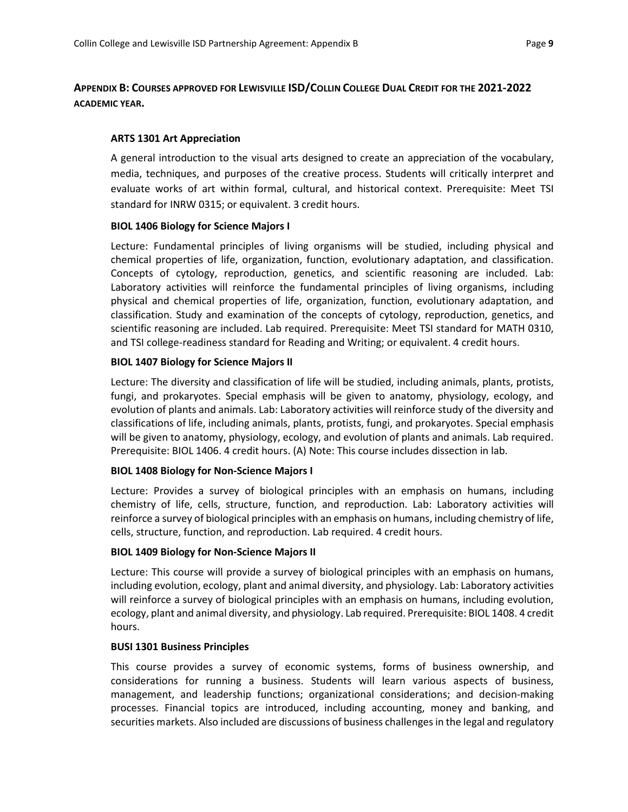#### **APPENDIX B: COURSES APPROVED FOR LEWISVILLE ISD/COLLIN COLLEGE DUAL CREDIT FOR THE 2021-2022 ACADEMIC YEAR.**

#### **ARTS 1301 Art Appreciation**

A general introduction to the visual arts designed to create an appreciation of the vocabulary, media, techniques, and purposes of the creative process. Students will critically interpret and evaluate works of art within formal, cultural, and historical context. Prerequisite: Meet TSI standard for INRW 0315; or equivalent. 3 credit hours.

#### **BIOL 1406 Biology for Science Majors I**

Lecture: Fundamental principles of living organisms will be studied, including physical and chemical properties of life, organization, function, evolutionary adaptation, and classification. Concepts of cytology, reproduction, genetics, and scientific reasoning are included. Lab: Laboratory activities will reinforce the fundamental principles of living organisms, including physical and chemical properties of life, organization, function, evolutionary adaptation, and classification. Study and examination of the concepts of cytology, reproduction, genetics, and scientific reasoning are included. Lab required. Prerequisite: Meet TSI standard for MATH 0310, and TSI college-readiness standard for Reading and Writing; or equivalent. 4 credit hours.

#### **BIOL 1407 Biology for Science Majors II**

Lecture: The diversity and classification of life will be studied, including animals, plants, protists, fungi, and prokaryotes. Special emphasis will be given to anatomy, physiology, ecology, and evolution of plants and animals. Lab: Laboratory activities will reinforce study of the diversity and classifications of life, including animals, plants, protists, fungi, and prokaryotes. Special emphasis will be given to anatomy, physiology, ecology, and evolution of plants and animals. Lab required. Prerequisite: BIOL 1406. 4 credit hours. (A) Note: This course includes dissection in lab.

#### **BIOL 1408 Biology for Non-Science Majors I**

Lecture: Provides a survey of biological principles with an emphasis on humans, including chemistry of life, cells, structure, function, and reproduction. Lab: Laboratory activities will reinforce a survey of biological principles with an emphasis on humans, including chemistry of life, cells, structure, function, and reproduction. Lab required. 4 credit hours.

#### **BIOL 1409 Biology for Non-Science Majors II**

Lecture: This course will provide a survey of biological principles with an emphasis on humans, including evolution, ecology, plant and animal diversity, and physiology. Lab: Laboratory activities will reinforce a survey of biological principles with an emphasis on humans, including evolution, ecology, plant and animal diversity, and physiology. Lab required. Prerequisite: BIOL 1408. 4 credit hours.

#### **BUSI 1301 Business Principles**

This course provides a survey of economic systems, forms of business ownership, and considerations for running a business. Students will learn various aspects of business, management, and leadership functions; organizational considerations; and decision-making processes. Financial topics are introduced, including accounting, money and banking, and securities markets. Also included are discussions of business challenges in the legal and regulatory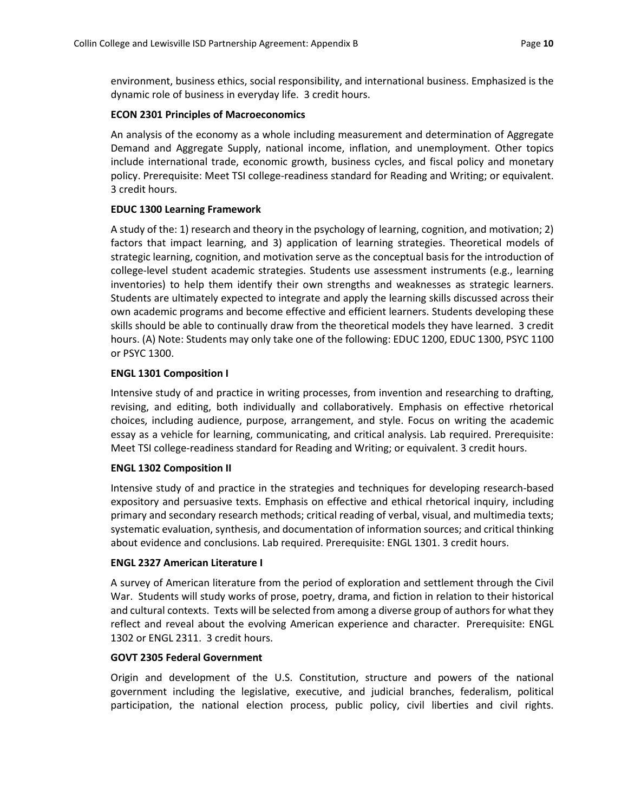environment, business ethics, social responsibility, and international business. Emphasized is the dynamic role of business in everyday life. 3 credit hours.

#### **ECON 2301 Principles of Macroeconomics**

An analysis of the economy as a whole including measurement and determination of Aggregate Demand and Aggregate Supply, national income, inflation, and unemployment. Other topics include international trade, economic growth, business cycles, and fiscal policy and monetary policy. Prerequisite: Meet TSI college-readiness standard for Reading and Writing; or equivalent. 3 credit hours.

#### **EDUC 1300 Learning Framework**

A study of the: 1) research and theory in the psychology of learning, cognition, and motivation; 2) factors that impact learning, and 3) application of learning strategies. Theoretical models of strategic learning, cognition, and motivation serve as the conceptual basis for the introduction of college-level student academic strategies. Students use assessment instruments (e.g., learning inventories) to help them identify their own strengths and weaknesses as strategic learners. Students are ultimately expected to integrate and apply the learning skills discussed across their own academic programs and become effective and efficient learners. Students developing these skills should be able to continually draw from the theoretical models they have learned. 3 credit hours. (A) Note: Students may only take one of the following: EDUC 1200, EDUC 1300, PSYC 1100 or PSYC 1300.

#### **ENGL 1301 Composition I**

Intensive study of and practice in writing processes, from invention and researching to drafting, revising, and editing, both individually and collaboratively. Emphasis on effective rhetorical choices, including audience, purpose, arrangement, and style. Focus on writing the academic essay as a vehicle for learning, communicating, and critical analysis. Lab required. Prerequisite: Meet TSI college-readiness standard for Reading and Writing; or equivalent. 3 credit hours.

#### **ENGL 1302 Composition II**

Intensive study of and practice in the strategies and techniques for developing research-based expository and persuasive texts. Emphasis on effective and ethical rhetorical inquiry, including primary and secondary research methods; critical reading of verbal, visual, and multimedia texts; systematic evaluation, synthesis, and documentation of information sources; and critical thinking about evidence and conclusions. Lab required. Prerequisite: ENGL 1301. 3 credit hours.

#### **ENGL 2327 American Literature I**

A survey of American literature from the period of exploration and settlement through the Civil War. Students will study works of prose, poetry, drama, and fiction in relation to their historical and cultural contexts. Texts will be selected from among a diverse group of authors for what they reflect and reveal about the evolving American experience and character. Prerequisite: ENGL 1302 or ENGL 2311. 3 credit hours.

#### **GOVT 2305 Federal Government**

Origin and development of the U.S. Constitution, structure and powers of the national government including the legislative, executive, and judicial branches, federalism, political participation, the national election process, public policy, civil liberties and civil rights.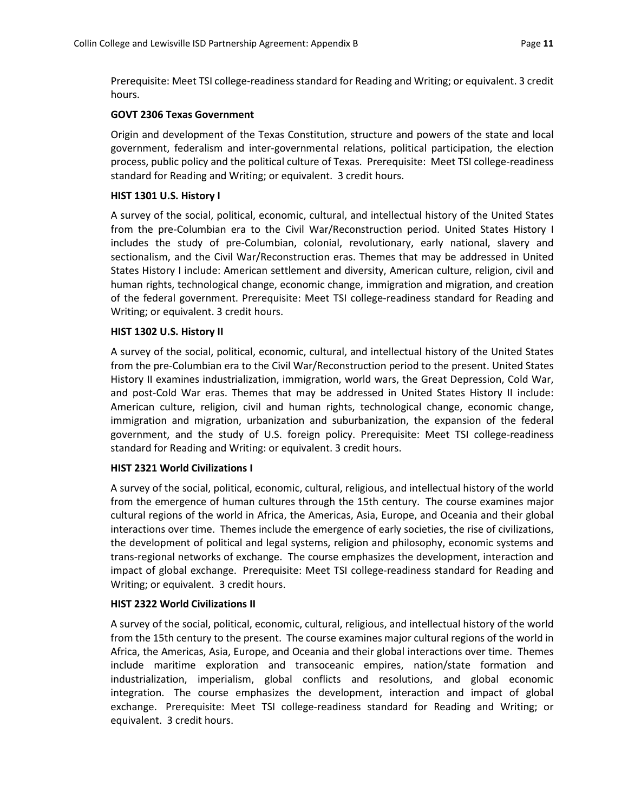Prerequisite: Meet TSI college-readiness standard for Reading and Writing; or equivalent. 3 credit hours.

#### **GOVT 2306 Texas Government**

Origin and development of the Texas Constitution, structure and powers of the state and local government, federalism and inter-governmental relations, political participation, the election process, public policy and the political culture of Texas. Prerequisite: Meet TSI college-readiness standard for Reading and Writing; or equivalent. 3 credit hours.

#### **HIST 1301 U.S. History I**

A survey of the social, political, economic, cultural, and intellectual history of the United States from the pre-Columbian era to the Civil War/Reconstruction period. United States History I includes the study of pre-Columbian, colonial, revolutionary, early national, slavery and sectionalism, and the Civil War/Reconstruction eras. Themes that may be addressed in United States History I include: American settlement and diversity, American culture, religion, civil and human rights, technological change, economic change, immigration and migration, and creation of the federal government. Prerequisite: Meet TSI college-readiness standard for Reading and Writing; or equivalent. 3 credit hours.

#### **HIST 1302 U.S. History II**

A survey of the social, political, economic, cultural, and intellectual history of the United States from the pre-Columbian era to the Civil War/Reconstruction period to the present. United States History II examines industrialization, immigration, world wars, the Great Depression, Cold War, and post-Cold War eras. Themes that may be addressed in United States History II include: American culture, religion, civil and human rights, technological change, economic change, immigration and migration, urbanization and suburbanization, the expansion of the federal government, and the study of U.S. foreign policy. Prerequisite: Meet TSI college-readiness standard for Reading and Writing: or equivalent. 3 credit hours.

#### **HIST 2321 World Civilizations I**

A survey of the social, political, economic, cultural, religious, and intellectual history of the world from the emergence of human cultures through the 15th century. The course examines major cultural regions of the world in Africa, the Americas, Asia, Europe, and Oceania and their global interactions over time. Themes include the emergence of early societies, the rise of civilizations, the development of political and legal systems, religion and philosophy, economic systems and trans-regional networks of exchange. The course emphasizes the development, interaction and impact of global exchange. Prerequisite: Meet TSI college-readiness standard for Reading and Writing; or equivalent. 3 credit hours.

#### **HIST 2322 World Civilizations II**

A survey of the social, political, economic, cultural, religious, and intellectual history of the world from the 15th century to the present. The course examines major cultural regions of the world in Africa, the Americas, Asia, Europe, and Oceania and their global interactions over time. Themes include maritime exploration and transoceanic empires, nation/state formation and industrialization, imperialism, global conflicts and resolutions, and global economic integration. The course emphasizes the development, interaction and impact of global exchange. Prerequisite: Meet TSI college-readiness standard for Reading and Writing; or equivalent. 3 credit hours.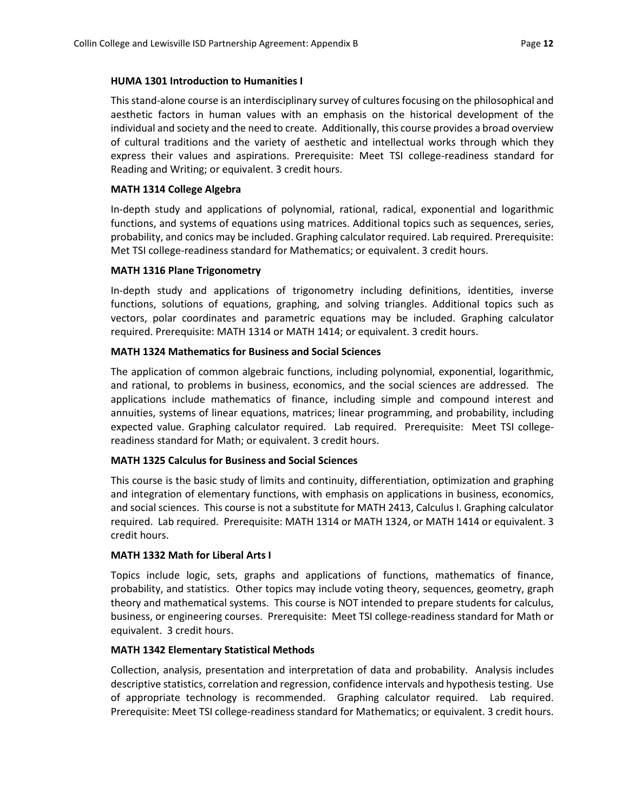#### **HUMA 1301 Introduction to Humanities I**

This stand-alone course is an interdisciplinary survey of cultures focusing on the philosophical and aesthetic factors in human values with an emphasis on the historical development of the individual and society and the need to create. Additionally, this course provides a broad overview of cultural traditions and the variety of aesthetic and intellectual works through which they express their values and aspirations. Prerequisite: Meet TSI college-readiness standard for Reading and Writing; or equivalent. 3 credit hours.

#### **MATH 1314 College Algebra**

In-depth study and applications of polynomial, rational, radical, exponential and logarithmic functions, and systems of equations using matrices. Additional topics such as sequences, series, probability, and conics may be included. Graphing calculator required. Lab required. Prerequisite: Met TSI college-readiness standard for Mathematics; or equivalent. 3 credit hours.

#### **MATH 1316 Plane Trigonometry**

In-depth study and applications of trigonometry including definitions, identities, inverse functions, solutions of equations, graphing, and solving triangles. Additional topics such as vectors, polar coordinates and parametric equations may be included. Graphing calculator required. Prerequisite: MATH 1314 or MATH 1414; or equivalent. 3 credit hours.

#### **MATH 1324 Mathematics for Business and Social Sciences**

The application of common algebraic functions, including polynomial, exponential, logarithmic, and rational, to problems in business, economics, and the social sciences are addressed. The applications include mathematics of finance, including simple and compound interest and annuities, systems of linear equations, matrices; linear programming, and probability, including expected value. Graphing calculator required. Lab required. Prerequisite: Meet TSI collegereadiness standard for Math; or equivalent. 3 credit hours.

#### **MATH 1325 Calculus for Business and Social Sciences**

This course is the basic study of limits and continuity, differentiation, optimization and graphing and integration of elementary functions, with emphasis on applications in business, economics, and social sciences. This course is not a substitute for MATH 2413, Calculus I. Graphing calculator required. Lab required. Prerequisite: MATH 1314 or MATH 1324, or MATH 1414 or equivalent. 3 credit hours.

#### **MATH 1332 Math for Liberal Arts I**

Topics include logic, sets, graphs and applications of functions, mathematics of finance, probability, and statistics. Other topics may include voting theory, sequences, geometry, graph theory and mathematical systems. This course is NOT intended to prepare students for calculus, business, or engineering courses. Prerequisite: Meet TSI college-readiness standard for Math or equivalent. 3 credit hours.

#### **MATH 1342 Elementary Statistical Methods**

Collection, analysis, presentation and interpretation of data and probability. Analysis includes descriptive statistics, correlation and regression, confidence intervals and hypothesis testing. Use of appropriate technology is recommended. Graphing calculator required. Lab required. Prerequisite: Meet TSI college-readiness standard for Mathematics; or equivalent. 3 credit hours.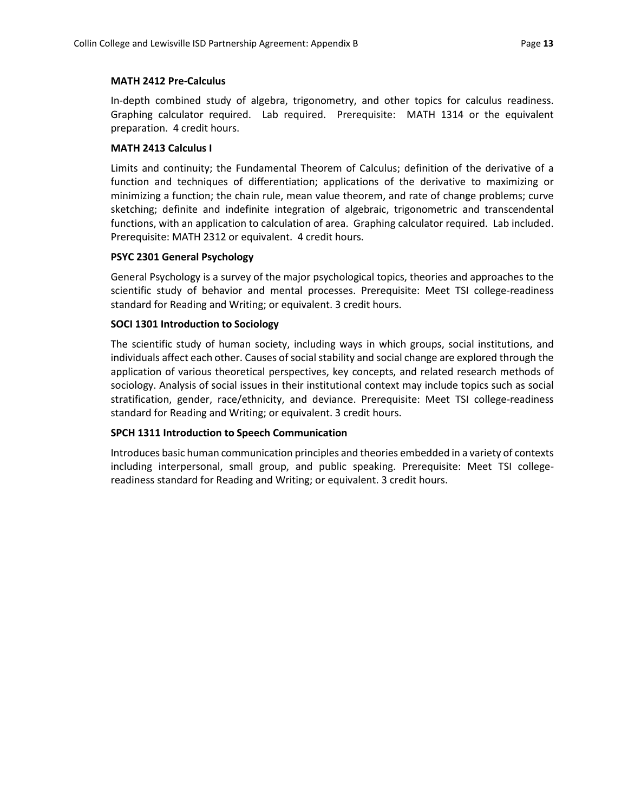#### **MATH 2412 Pre-Calculus**

In-depth combined study of algebra, trigonometry, and other topics for calculus readiness. Graphing calculator required. Lab required. Prerequisite: MATH 1314 or the equivalent preparation. 4 credit hours.

#### **MATH 2413 Calculus I**

Limits and continuity; the Fundamental Theorem of Calculus; definition of the derivative of a function and techniques of differentiation; applications of the derivative to maximizing or minimizing a function; the chain rule, mean value theorem, and rate of change problems; curve sketching; definite and indefinite integration of algebraic, trigonometric and transcendental functions, with an application to calculation of area. Graphing calculator required. Lab included. Prerequisite: MATH 2312 or equivalent. 4 credit hours.

#### **PSYC 2301 General Psychology**

General Psychology is a survey of the major psychological topics, theories and approaches to the scientific study of behavior and mental processes. Prerequisite: Meet TSI college-readiness standard for Reading and Writing; or equivalent. 3 credit hours.

#### **SOCI 1301 Introduction to Sociology**

The scientific study of human society, including ways in which groups, social institutions, and individuals affect each other. Causes of social stability and social change are explored through the application of various theoretical perspectives, key concepts, and related research methods of sociology. Analysis of social issues in their institutional context may include topics such as social stratification, gender, race/ethnicity, and deviance. Prerequisite: Meet TSI college-readiness standard for Reading and Writing; or equivalent. 3 credit hours.

#### **SPCH 1311 Introduction to Speech Communication**

Introduces basic human communication principles and theories embedded in a variety of contexts including interpersonal, small group, and public speaking. Prerequisite: Meet TSI collegereadiness standard for Reading and Writing; or equivalent. 3 credit hours.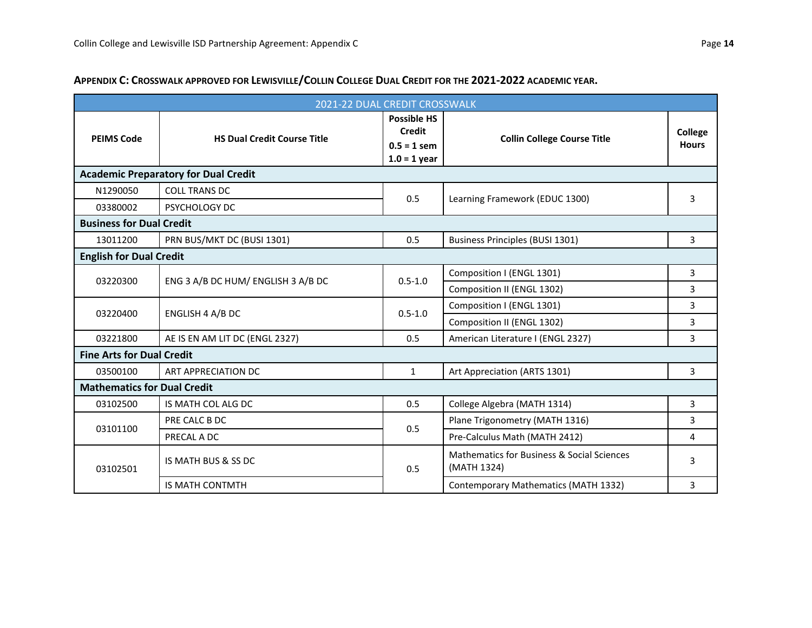| 2021-22 DUAL CREDIT CROSSWALK               |                                    |                                                                        |                                                                      |                         |  |  |  |  |
|---------------------------------------------|------------------------------------|------------------------------------------------------------------------|----------------------------------------------------------------------|-------------------------|--|--|--|--|
| <b>PEIMS Code</b>                           | <b>HS Dual Credit Course Title</b> | <b>Possible HS</b><br><b>Credit</b><br>$0.5 = 1$ sem<br>$1.0 = 1$ year | <b>Collin College Course Title</b>                                   | College<br><b>Hours</b> |  |  |  |  |
| <b>Academic Preparatory for Dual Credit</b> |                                    |                                                                        |                                                                      |                         |  |  |  |  |
| N1290050                                    | <b>COLL TRANS DC</b>               | 0.5                                                                    | Learning Framework (EDUC 1300)                                       | 3                       |  |  |  |  |
| 03380002                                    | PSYCHOLOGY DC                      |                                                                        |                                                                      |                         |  |  |  |  |
| <b>Business for Dual Credit</b>             |                                    |                                                                        |                                                                      |                         |  |  |  |  |
| 13011200                                    | PRN BUS/MKT DC (BUSI 1301)         | 0.5                                                                    | Business Principles (BUSI 1301)                                      | 3                       |  |  |  |  |
| <b>English for Dual Credit</b>              |                                    |                                                                        |                                                                      |                         |  |  |  |  |
|                                             | ENG 3 A/B DC HUM/ ENGLISH 3 A/B DC | $0.5 - 1.0$                                                            | Composition I (ENGL 1301)                                            | 3                       |  |  |  |  |
| 03220300                                    |                                    |                                                                        | Composition II (ENGL 1302)                                           | 3                       |  |  |  |  |
| 03220400                                    | ENGLISH 4 A/B DC                   | $0.5 - 1.0$                                                            | Composition I (ENGL 1301)                                            | $\overline{3}$          |  |  |  |  |
|                                             |                                    |                                                                        | Composition II (ENGL 1302)                                           | 3                       |  |  |  |  |
| 03221800                                    | AE IS EN AM LIT DC (ENGL 2327)     | 0.5                                                                    | American Literature I (ENGL 2327)                                    | 3                       |  |  |  |  |
| <b>Fine Arts for Dual Credit</b>            |                                    |                                                                        |                                                                      |                         |  |  |  |  |
| 03500100                                    | ART APPRECIATION DC                | $\mathbf{1}$                                                           | Art Appreciation (ARTS 1301)                                         | 3                       |  |  |  |  |
| <b>Mathematics for Dual Credit</b>          |                                    |                                                                        |                                                                      |                         |  |  |  |  |
| 03102500                                    | IS MATH COL ALG DC                 | 0.5                                                                    | College Algebra (MATH 1314)                                          | 3                       |  |  |  |  |
| 03101100                                    | PRE CALC B DC                      | 0.5                                                                    | Plane Trigonometry (MATH 1316)                                       | 3                       |  |  |  |  |
|                                             | PRECAL A DC                        |                                                                        | Pre-Calculus Math (MATH 2412)                                        | 4                       |  |  |  |  |
| 03102501                                    | IS MATH BUS & SS DC                | 0.5                                                                    | <b>Mathematics for Business &amp; Social Sciences</b><br>(MATH 1324) | 3                       |  |  |  |  |
|                                             | <b>IS MATH CONTMTH</b>             |                                                                        | Contemporary Mathematics (MATH 1332)                                 | 3                       |  |  |  |  |

#### **APPENDIX C: CROSSWALK APPROVED FOR LEWISVILLE/COLLIN COLLEGE DUAL CREDIT FOR THE 2021-2022 ACADEMIC YEAR.**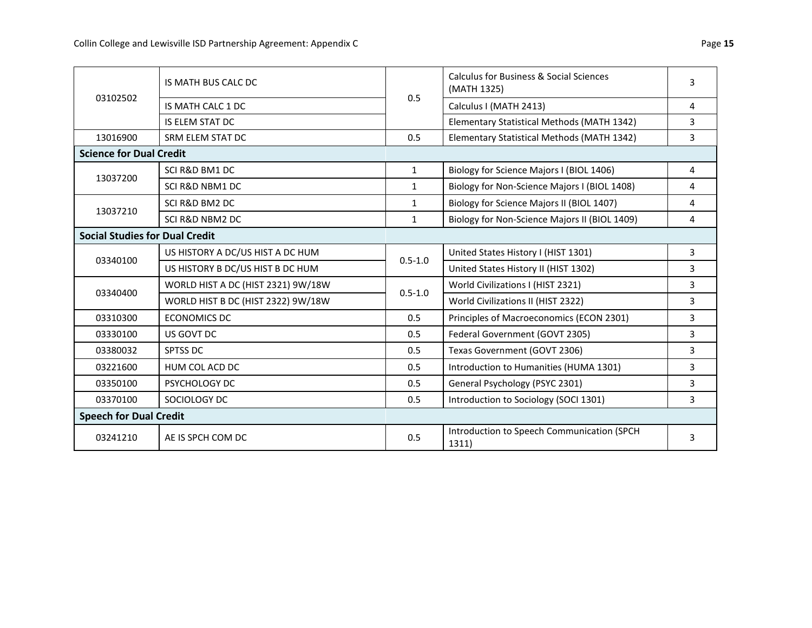| 03102502                              | IS MATH BUS CALC DC                | 0.5          | <b>Calculus for Business &amp; Social Sciences</b><br>(MATH 1325) | 3 |  |  |  |  |
|---------------------------------------|------------------------------------|--------------|-------------------------------------------------------------------|---|--|--|--|--|
|                                       | IS MATH CALC 1 DC                  |              | Calculus I (MATH 2413)                                            | 4 |  |  |  |  |
|                                       | <b>IS ELEM STAT DC</b>             |              | Elementary Statistical Methods (MATH 1342)                        | 3 |  |  |  |  |
| 13016900                              | SRM ELEM STAT DC                   | 0.5          | Elementary Statistical Methods (MATH 1342)                        | 3 |  |  |  |  |
| <b>Science for Dual Credit</b>        |                                    |              |                                                                   |   |  |  |  |  |
| 13037200                              | SCI R&D BM1 DC                     | $\mathbf{1}$ | Biology for Science Majors I (BIOL 1406)                          | 4 |  |  |  |  |
|                                       | SCI R&D NBM1 DC                    | $\mathbf{1}$ | Biology for Non-Science Majors I (BIOL 1408)                      | 4 |  |  |  |  |
| 13037210                              | SCI R&D BM2 DC                     | $\mathbf{1}$ | Biology for Science Majors II (BIOL 1407)                         | 4 |  |  |  |  |
|                                       | <b>SCI R&amp;D NBM2 DC</b>         | $\mathbf{1}$ | Biology for Non-Science Majors II (BIOL 1409)                     | 4 |  |  |  |  |
| <b>Social Studies for Dual Credit</b> |                                    |              |                                                                   |   |  |  |  |  |
| 03340100                              | US HISTORY A DC/US HIST A DC HUM   | $0.5 - 1.0$  | United States History I (HIST 1301)                               | 3 |  |  |  |  |
|                                       | US HISTORY B DC/US HIST B DC HUM   |              | United States History II (HIST 1302)                              | 3 |  |  |  |  |
| 03340400                              | WORLD HIST A DC (HIST 2321) 9W/18W | $0.5 - 1.0$  | World Civilizations I (HIST 2321)                                 | 3 |  |  |  |  |
|                                       | WORLD HIST B DC (HIST 2322) 9W/18W |              | World Civilizations II (HIST 2322)                                | 3 |  |  |  |  |
| 03310300                              | <b>ECONOMICS DC</b>                | 0.5          | Principles of Macroeconomics (ECON 2301)                          | 3 |  |  |  |  |
| 03330100                              | US GOVT DC                         | 0.5          | Federal Government (GOVT 2305)                                    | 3 |  |  |  |  |
| 03380032                              | SPTSS DC                           | 0.5          | Texas Government (GOVT 2306)                                      | 3 |  |  |  |  |
| 03221600                              | HUM COL ACD DC                     | 0.5          | Introduction to Humanities (HUMA 1301)                            | 3 |  |  |  |  |
| 03350100                              | PSYCHOLOGY DC                      | 0.5          | General Psychology (PSYC 2301)                                    | 3 |  |  |  |  |
| 03370100                              | SOCIOLOGY DC                       | 0.5          | Introduction to Sociology (SOCI 1301)                             | 3 |  |  |  |  |
| <b>Speech for Dual Credit</b>         |                                    |              |                                                                   |   |  |  |  |  |
| 03241210                              | AE IS SPCH COM DC                  | 0.5          | Introduction to Speech Communication (SPCH<br>1311)               | 3 |  |  |  |  |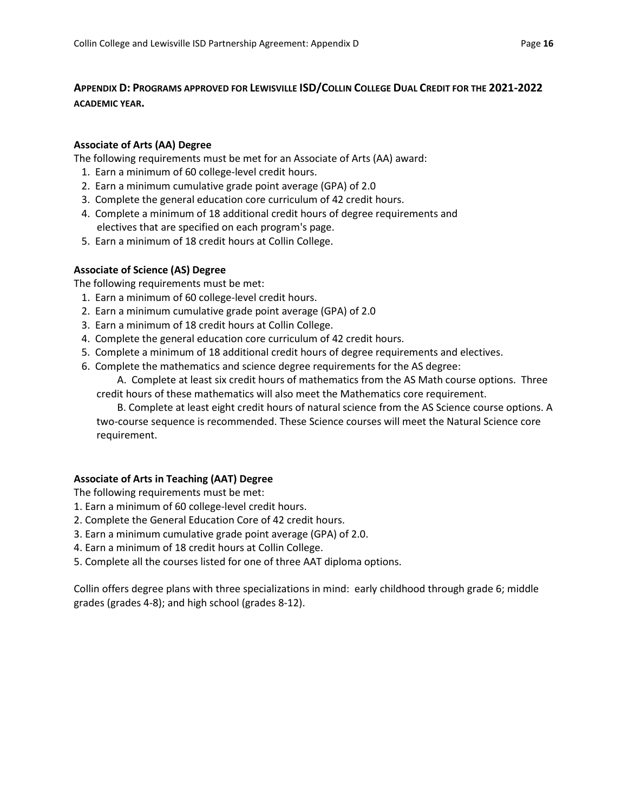#### **APPENDIX D: PROGRAMS APPROVED FOR LEWISVILLE ISD/COLLIN COLLEGE DUAL CREDIT FOR THE 2021-2022 ACADEMIC YEAR.**

#### **Associate of Arts (AA) Degree**

The following requirements must be met for an Associate of Arts (AA) award:

- 1. Earn a minimum of 60 college-level credit hours.
- 2. Earn a minimum cumulative grade point average (GPA) of 2.0
- 3. Complete the general education core curriculum of 42 credit hours.
- 4. Complete a minimum of 18 additional credit hours of degree requirements and electives that are specified on each program's page.
- 5. Earn a minimum of 18 credit hours at Collin College.

#### **Associate of Science (AS) Degree**

The following requirements must be met:

- 1. Earn a minimum of 60 college-level credit hours.
- 2. Earn a minimum cumulative grade point average (GPA) of 2.0
- 3. Earn a minimum of 18 credit hours at Collin College.
- 4. Complete the general education core curriculum of 42 credit hours.
- 5. Complete a minimum of 18 additional credit hours of degree requirements and electives.
- 6. Complete the mathematics and science degree requirements for the AS degree:

 A. Complete at least six credit hours of mathematics from the AS Math course options. Three credit hours of these mathematics will also meet the Mathematics core requirement.

 B. Complete at least eight credit hours of natural science from the AS Science course options. A two-course sequence is recommended. These Science courses will meet the Natural Science core requirement.

#### **Associate of Arts in Teaching (AAT) Degree**

The following requirements must be met:

- 1. Earn a minimum of 60 college-level credit hours.
- 2. Complete the General Education Core of 42 credit hours.
- 3. Earn a minimum cumulative grade point average (GPA) of 2.0.
- 4. Earn a minimum of 18 credit hours at Collin College.
- 5. Complete all the courses listed for one of three AAT diploma options.

Collin offers degree plans with three specializations in mind: early childhood through grade 6; middle grades (grades 4-8); and high school (grades 8-12).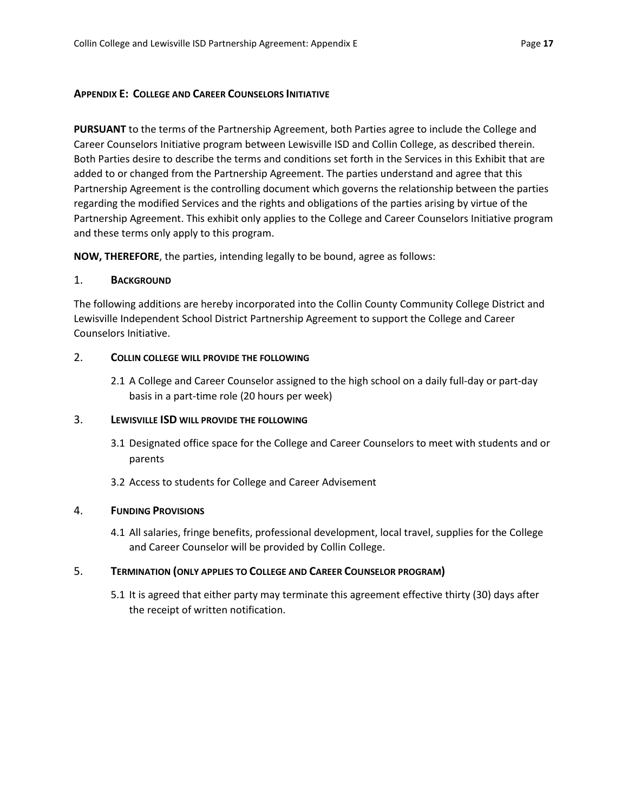#### **APPENDIX E: COLLEGE AND CAREER COUNSELORS INITIATIVE**

**PURSUANT** to the terms of the Partnership Agreement, both Parties agree to include the College and Career Counselors Initiative program between Lewisville ISD and Collin College, as described therein. Both Parties desire to describe the terms and conditions set forth in the Services in this Exhibit that are added to or changed from the Partnership Agreement. The parties understand and agree that this Partnership Agreement is the controlling document which governs the relationship between the parties regarding the modified Services and the rights and obligations of the parties arising by virtue of the Partnership Agreement. This exhibit only applies to the College and Career Counselors Initiative program and these terms only apply to this program.

**NOW, THEREFORE**, the parties, intending legally to be bound, agree as follows:

#### 1. **BACKGROUND**

The following additions are hereby incorporated into the Collin County Community College District and Lewisville Independent School District Partnership Agreement to support the College and Career Counselors Initiative.

#### 2. **COLLIN COLLEGE WILL PROVIDE THE FOLLOWING**

2.1 A College and Career Counselor assigned to the high school on a daily full-day or part-day basis in a part-time role (20 hours per week)

#### 3. **LEWISVILLE ISD WILL PROVIDE THE FOLLOWING**

- 3.1 Designated office space for the College and Career Counselors to meet with students and or parents
- 3.2 Access to students for College and Career Advisement

#### 4. **FUNDING PROVISIONS**

4.1 All salaries, fringe benefits, professional development, local travel, supplies for the College and Career Counselor will be provided by Collin College.

#### 5. **TERMINATION (ONLY APPLIES TO COLLEGE AND CAREER COUNSELOR PROGRAM)**

5.1 It is agreed that either party may terminate this agreement effective thirty (30) days after the receipt of written notification.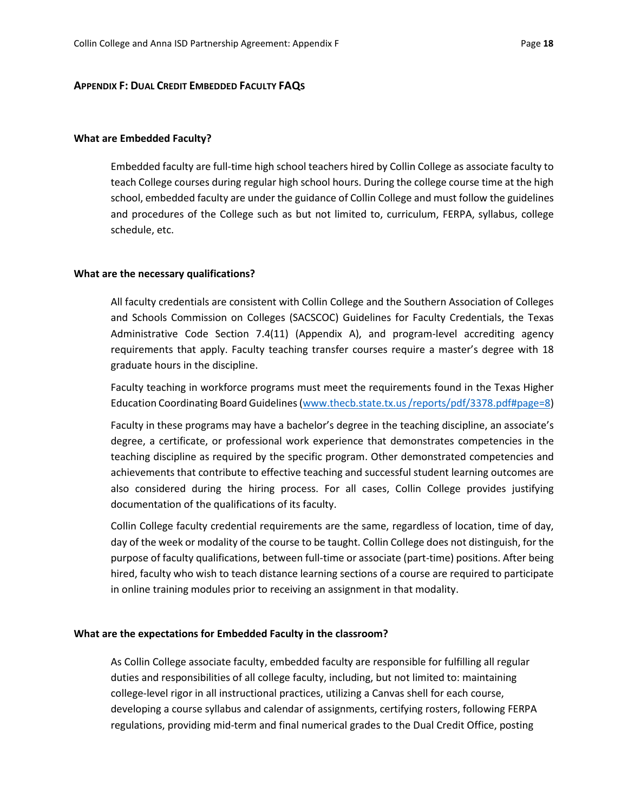#### **APPENDIX F: DUAL CREDIT EMBEDDED FACULTY FAQS**

#### **What are Embedded Faculty?**

Embedded faculty are full-time high school teachers hired by Collin College as associate faculty to teach College courses during regular high school hours. During the college course time at the high school, embedded faculty are under the guidance of Collin College and must follow the guidelines and procedures of the College such as but not limited to, curriculum, FERPA, syllabus, college schedule, etc.

#### **What are the necessary qualifications?**

All faculty credentials are consistent with Collin College and the Southern Association of Colleges and Schools Commission on Colleges (SACSCOC) Guidelines for Faculty Credentials, the Texas Administrative Code Section 7.4(11) (Appendix A), and program-level accrediting agency requirements that apply. Faculty teaching transfer courses require a master's degree with 18 graduate hours in the discipline.

Faculty teaching in workforce programs must meet the requirements found in the Texas Higher Education Coordinating Board Guidelines (www.thecb.state.tx.us /reports/pdf/3378.pdf#page=8)

Faculty in these programs may have a bachelor's degree in the teaching discipline, an associate's degree, a certificate, or professional work experience that demonstrates competencies in the teaching discipline as required by the specific program. Other demonstrated competencies and achievements that contribute to effective teaching and successful student learning outcomes are also considered during the hiring process. For all cases, Collin College provides justifying documentation of the qualifications of its faculty.

Collin College faculty credential requirements are the same, regardless of location, time of day, day of the week or modality of the course to be taught. Collin College does not distinguish, for the purpose of faculty qualifications, between full-time or associate (part-time) positions. After being hired, faculty who wish to teach distance learning sections of a course are required to participate in online training modules prior to receiving an assignment in that modality.

#### **What are the expectations for Embedded Faculty in the classroom?**

As Collin College associate faculty, embedded faculty are responsible for fulfilling all regular duties and responsibilities of all college faculty, including, but not limited to: maintaining college-level rigor in all instructional practices, utilizing a Canvas shell for each course, developing a course syllabus and calendar of assignments, certifying rosters, following FERPA regulations, providing mid-term and final numerical grades to the Dual Credit Office, posting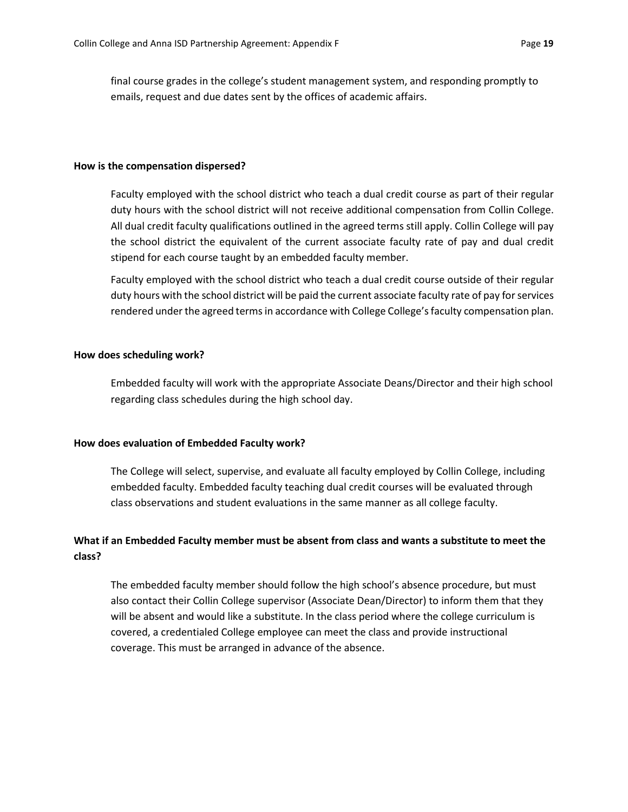final course grades in the college's student management system, and responding promptly to emails, request and due dates sent by the offices of academic affairs.

#### **How is the compensation dispersed?**

Faculty employed with the school district who teach a dual credit course as part of their regular duty hours with the school district will not receive additional compensation from Collin College. All dual credit faculty qualifications outlined in the agreed terms still apply. Collin College will pay the school district the equivalent of the current associate faculty rate of pay and dual credit stipend for each course taught by an embedded faculty member.

Faculty employed with the school district who teach a dual credit course outside of their regular duty hours with the school district will be paid the current associate faculty rate of pay for services rendered under the agreed terms in accordance with College College's faculty compensation plan.

#### **How does scheduling work?**

Embedded faculty will work with the appropriate Associate Deans/Director and their high school regarding class schedules during the high school day.

#### **How does evaluation of Embedded Faculty work?**

The College will select, supervise, and evaluate all faculty employed by Collin College, including embedded faculty. Embedded faculty teaching dual credit courses will be evaluated through class observations and student evaluations in the same manner as all college faculty.

#### **What if an Embedded Faculty member must be absent from class and wants a substitute to meet the class?**

The embedded faculty member should follow the high school's absence procedure, but must also contact their Collin College supervisor (Associate Dean/Director) to inform them that they will be absent and would like a substitute. In the class period where the college curriculum is covered, a credentialed College employee can meet the class and provide instructional coverage. This must be arranged in advance of the absence.